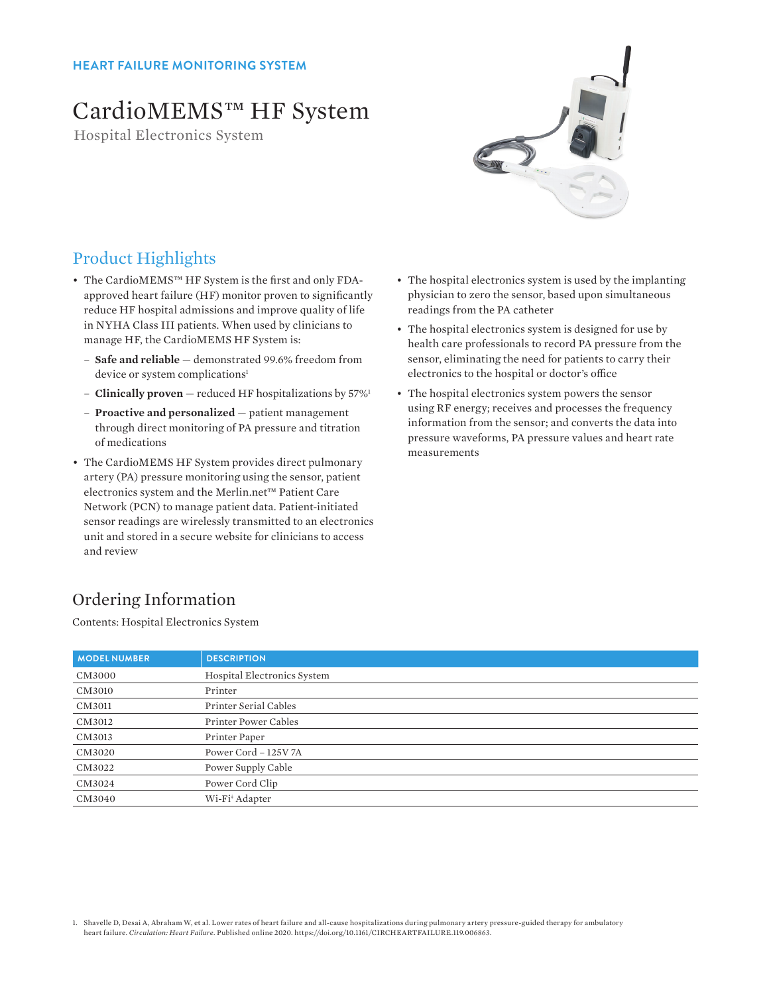### **HEART FAILURE MONITORING SYSTEM**

# CardioMEMS™ HF System

Hospital Electronics System



### Product Highlights

- The CardioMEMS™ HF System is the first and only FDAapproved heart failure (HF) monitor proven to significantly reduce HF hospital admissions and improve quality of life in NYHA Class III patients. When used by clinicians to manage HF, the CardioMEMS HF System is:
	- **Safe and reliable** demonstrated 99.6% freedom from device or system complications<sup>1</sup>
	- **Clinically proven** reduced HF hospitalizations by 57%1
	- **Proactive and personalized** patient management through direct monitoring of PA pressure and titration of medications
- The CardioMEMS HF System provides direct pulmonary artery (PA) pressure monitoring using the sensor, patient electronics system and the Merlin.net™ Patient Care Network (PCN) to manage patient data. Patient-initiated sensor readings are wirelessly transmitted to an electronics unit and stored in a secure website for clinicians to access and review
- The hospital electronics system is used by the implanting physician to zero the sensor, based upon simultaneous readings from the PA catheter
- The hospital electronics system is designed for use by health care professionals to record PA pressure from the sensor, eliminating the need for patients to carry their electronics to the hospital or doctor's office
- The hospital electronics system powers the sensor using RF energy; receives and processes the frequency information from the sensor; and converts the data into pressure waveforms, PA pressure values and heart rate measurements

## Ordering Information

Contents: Hospital Electronics System

| <b>MODEL NUMBER</b> | <b>DESCRIPTION</b>          |
|---------------------|-----------------------------|
| CM3000              | Hospital Electronics System |
| CM3010              | Printer                     |
| CM3011              | Printer Serial Cables       |
| CM3012              | Printer Power Cables        |
| CM3013              | Printer Paper               |
| CM3020              | Power Cord - 125V 7A        |
| CM3022              | Power Supply Cable          |
| CM3024              | Power Cord Clip             |
| CM3040              | Wi-Fi <sup>+</sup> Adapter  |

1. Shavelle D, Desai A, Abraham W, et al. Lower rates of heart failure and all-cause hospitalizations during pulmonary artery pressure-guided therapy for ambulatory heart failure. *Circulation: Heart Failure.* Published online 2020. https://doi.org/10.1161/CIRCHEARTFAILURE.119.006863.